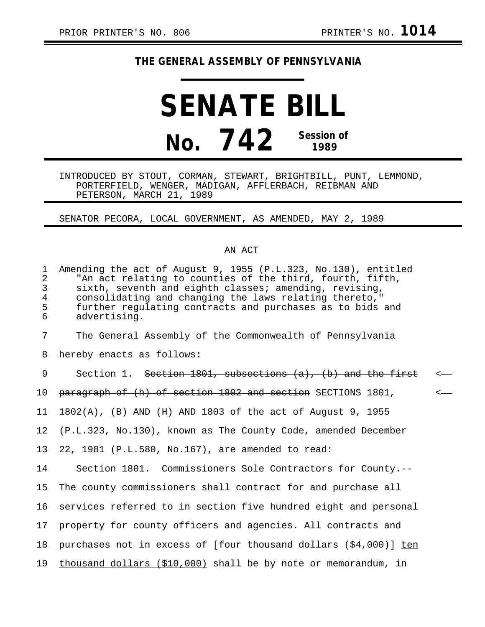## **THE GENERAL ASSEMBLY OF PENNSYLVANIA**

## **SENATE BILL No. 742 Session of 1989**

INTRODUCED BY STOUT, CORMAN, STEWART, BRIGHTBILL, PUNT, LEMMOND, PORTERFIELD, WENGER, MADIGAN, AFFLERBACH, REIBMAN AND PETERSON, MARCH 21, 1989

SENATOR PECORA, LOCAL GOVERNMENT, AS AMENDED, MAY 2, 1989

## AN ACT

| $\mathbf{1}$<br>$\overline{2}$<br>3<br>$\overline{4}$<br>5<br>6 | Amending the act of August 9, 1955 (P.L.323, No.130), entitled<br>"An act relating to counties of the third, fourth, fifth,<br>sixth, seventh and eighth classes; amending, revising,<br>consolidating and changing the laws relating thereto,"<br>further regulating contracts and purchases as to bids and<br>advertising. |         |
|-----------------------------------------------------------------|------------------------------------------------------------------------------------------------------------------------------------------------------------------------------------------------------------------------------------------------------------------------------------------------------------------------------|---------|
| 7                                                               | The General Assembly of the Commonwealth of Pennsylvania                                                                                                                                                                                                                                                                     |         |
| 8                                                               | hereby enacts as follows:                                                                                                                                                                                                                                                                                                    |         |
| 9                                                               | Section 1. Section 1801, subsections $(a)$ , $(b)$ and the first                                                                                                                                                                                                                                                             | $\,<\,$ |
| 10 <sub>1</sub>                                                 | paragraph of (h) of section 1802 and section SECTIONS 1801,                                                                                                                                                                                                                                                                  | $\,<$   |
| 11                                                              | 1802(A), (B) AND (H) AND 1803 of the act of August 9, 1955                                                                                                                                                                                                                                                                   |         |
| 12 <sub>1</sub>                                                 | (P.L.323, No.130), known as The County Code, amended December                                                                                                                                                                                                                                                                |         |
| 13                                                              | 22, 1981 (P.L.580, No.167), are amended to read:                                                                                                                                                                                                                                                                             |         |
| 14                                                              | Section 1801. Commissioners Sole Contractors for County.--                                                                                                                                                                                                                                                                   |         |
| 15                                                              | The county commissioners shall contract for and purchase all                                                                                                                                                                                                                                                                 |         |
| 16                                                              | services referred to in section five hundred eight and personal                                                                                                                                                                                                                                                              |         |
| 17                                                              | property for county officers and agencies. All contracts and                                                                                                                                                                                                                                                                 |         |
| 18                                                              | purchases not in excess of [four thousand dollars $( $4,000)$ ] ten                                                                                                                                                                                                                                                          |         |
| 19                                                              | thousand dollars (\$10,000) shall be by note or memorandum, in                                                                                                                                                                                                                                                               |         |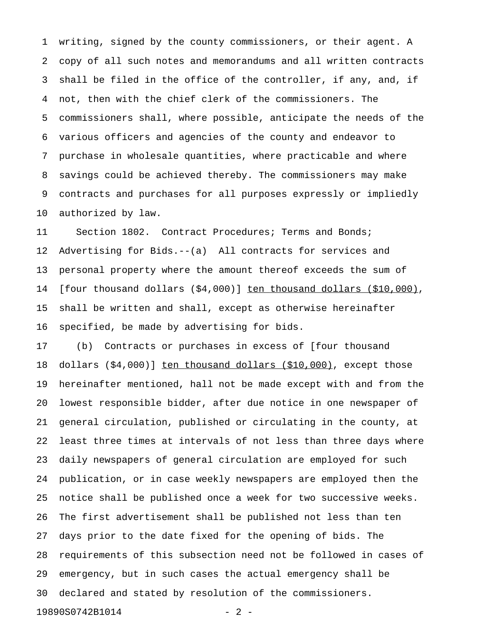1 writing, signed by the county commissioners, or their agent. A 2 copy of all such notes and memorandums and all written contracts 3 shall be filed in the office of the controller, if any, and, if 4 not, then with the chief clerk of the commissioners. The 5 commissioners shall, where possible, anticipate the needs of the 6 various officers and agencies of the county and endeavor to 7 purchase in wholesale quantities, where practicable and where 8 savings could be achieved thereby. The commissioners may make 9 contracts and purchases for all purposes expressly or impliedly 10 authorized by law.

11 Section 1802. Contract Procedures; Terms and Bonds; 12 Advertising for Bids.--(a) All contracts for services and 13 personal property where the amount thereof exceeds the sum of 14 [four thousand dollars (\$4,000)] ten thousand dollars (\$10,000), 15 shall be written and shall, except as otherwise hereinafter 16 specified, be made by advertising for bids.

17 (b) Contracts or purchases in excess of [four thousand 18 dollars (\$4,000)] ten thousand dollars (\$10,000), except those 19 hereinafter mentioned, hall not be made except with and from the 20 lowest responsible bidder, after due notice in one newspaper of 21 general circulation, published or circulating in the county, at 22 least three times at intervals of not less than three days where 23 daily newspapers of general circulation are employed for such 24 publication, or in case weekly newspapers are employed then the 25 notice shall be published once a week for two successive weeks. 26 The first advertisement shall be published not less than ten 27 days prior to the date fixed for the opening of bids. The 28 requirements of this subsection need not be followed in cases of 29 emergency, but in such cases the actual emergency shall be 30 declared and stated by resolution of the commissioners. 19890S0742B1014 - 2 -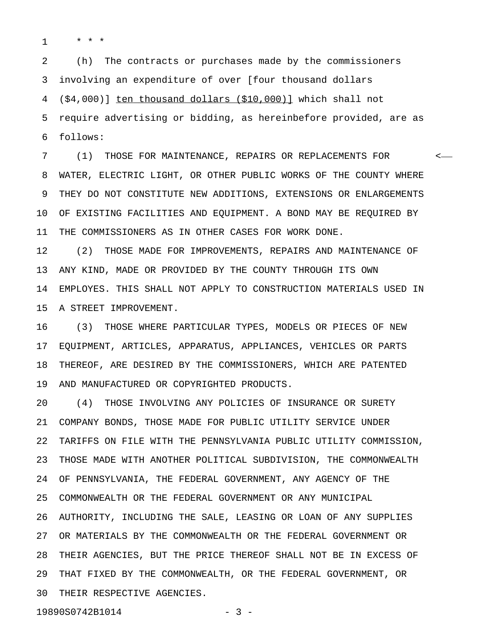1 \* \* \*

2 (h) The contracts or purchases made by the commissioners 3 involving an expenditure of over [four thousand dollars 4  $( $4,000)]$  ten thousand dollars  $($10,000)]$  which shall not 5 require advertising or bidding, as hereinbefore provided, are as 6 follows:

7 (1) THOSE FOR MAINTENANCE, REPAIRS OR REPLACEMENTS FOR < 8 WATER, ELECTRIC LIGHT, OR OTHER PUBLIC WORKS OF THE COUNTY WHERE 9 THEY DO NOT CONSTITUTE NEW ADDITIONS, EXTENSIONS OR ENLARGEMENTS 10 OF EXISTING FACILITIES AND EQUIPMENT. A BOND MAY BE REQUIRED BY 11 THE COMMISSIONERS AS IN OTHER CASES FOR WORK DONE.

12 (2) THOSE MADE FOR IMPROVEMENTS, REPAIRS AND MAINTENANCE OF 13 ANY KIND, MADE OR PROVIDED BY THE COUNTY THROUGH ITS OWN 14 EMPLOYES. THIS SHALL NOT APPLY TO CONSTRUCTION MATERIALS USED IN 15 A STREET IMPROVEMENT.

16 (3) THOSE WHERE PARTICULAR TYPES, MODELS OR PIECES OF NEW 17 EQUIPMENT, ARTICLES, APPARATUS, APPLIANCES, VEHICLES OR PARTS 18 THEREOF, ARE DESIRED BY THE COMMISSIONERS, WHICH ARE PATENTED 19 AND MANUFACTURED OR COPYRIGHTED PRODUCTS.

20 (4) THOSE INVOLVING ANY POLICIES OF INSURANCE OR SURETY 21 COMPANY BONDS, THOSE MADE FOR PUBLIC UTILITY SERVICE UNDER 22 TARIFFS ON FILE WITH THE PENNSYLVANIA PUBLIC UTILITY COMMISSION, 23 THOSE MADE WITH ANOTHER POLITICAL SUBDIVISION, THE COMMONWEALTH 24 OF PENNSYLVANIA, THE FEDERAL GOVERNMENT, ANY AGENCY OF THE 25 COMMONWEALTH OR THE FEDERAL GOVERNMENT OR ANY MUNICIPAL 26 AUTHORITY, INCLUDING THE SALE, LEASING OR LOAN OF ANY SUPPLIES 27 OR MATERIALS BY THE COMMONWEALTH OR THE FEDERAL GOVERNMENT OR 28 THEIR AGENCIES, BUT THE PRICE THEREOF SHALL NOT BE IN EXCESS OF 29 THAT FIXED BY THE COMMONWEALTH, OR THE FEDERAL GOVERNMENT, OR 30 THEIR RESPECTIVE AGENCIES.

19890S0742B1014 - 3 -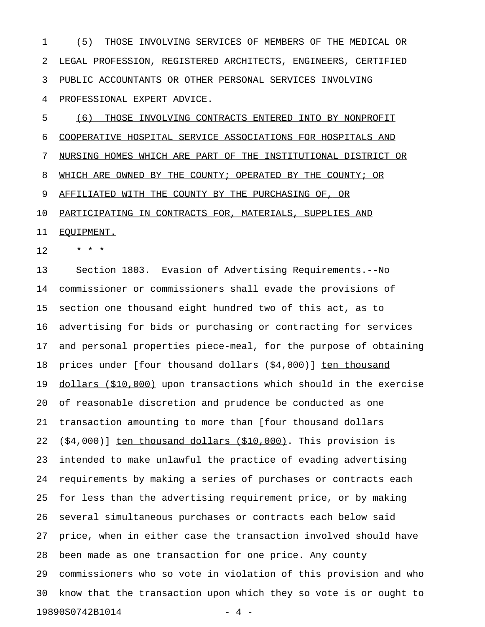1 (5) THOSE INVOLVING SERVICES OF MEMBERS OF THE MEDICAL OR 2 LEGAL PROFESSION, REGISTERED ARCHITECTS, ENGINEERS, CERTIFIED 3 PUBLIC ACCOUNTANTS OR OTHER PERSONAL SERVICES INVOLVING 4 PROFESSIONAL EXPERT ADVICE.

5 (6) THOSE INVOLVING CONTRACTS ENTERED INTO BY NONPROFIT 6 COOPERATIVE HOSPITAL SERVICE ASSOCIATIONS FOR HOSPITALS AND 7 NURSING HOMES WHICH ARE PART OF THE INSTITUTIONAL DISTRICT OR 8 WHICH ARE OWNED BY THE COUNTY; OPERATED BY THE COUNTY; OR 9 AFFILIATED WITH THE COUNTY BY THE PURCHASING OF, OR 10 PARTICIPATING IN CONTRACTS FOR, MATERIALS, SUPPLIES AND 11 EQUIPMENT.

 $12 + * * * *$ 

13 Section 1803. Evasion of Advertising Requirements.--No 14 commissioner or commissioners shall evade the provisions of 15 section one thousand eight hundred two of this act, as to 16 advertising for bids or purchasing or contracting for services 17 and personal properties piece-meal, for the purpose of obtaining 18 prices under [four thousand dollars (\$4,000)] ten thousand 19 dollars (\$10,000) upon transactions which should in the exercise 20 of reasonable discretion and prudence be conducted as one 21 transaction amounting to more than [four thousand dollars 22  $(54,000)$ ] ten thousand dollars  $(510,000)$ . This provision is 23 intended to make unlawful the practice of evading advertising 24 requirements by making a series of purchases or contracts each 25 for less than the advertising requirement price, or by making 26 several simultaneous purchases or contracts each below said 27 price, when in either case the transaction involved should have 28 been made as one transaction for one price. Any county 29 commissioners who so vote in violation of this provision and who 30 know that the transaction upon which they so vote is or ought to 19890S0742B1014 - 4 -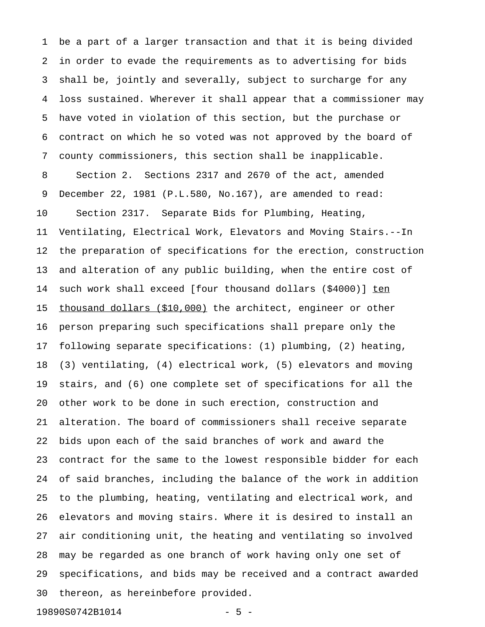1 be a part of a larger transaction and that it is being divided 2 in order to evade the requirements as to advertising for bids 3 shall be, jointly and severally, subject to surcharge for any 4 loss sustained. Wherever it shall appear that a commissioner may 5 have voted in violation of this section, but the purchase or 6 contract on which he so voted was not approved by the board of 7 county commissioners, this section shall be inapplicable. 8 Section 2. Sections 2317 and 2670 of the act, amended 9 December 22, 1981 (P.L.580, No.167), are amended to read: 10 Section 2317. Separate Bids for Plumbing, Heating, 11 Ventilating, Electrical Work, Elevators and Moving Stairs.--In 12 the preparation of specifications for the erection, construction 13 and alteration of any public building, when the entire cost of 14 such work shall exceed [four thousand dollars (\$4000)] ten 15 thousand dollars (\$10,000) the architect, engineer or other 16 person preparing such specifications shall prepare only the 17 following separate specifications: (1) plumbing, (2) heating, 18 (3) ventilating, (4) electrical work, (5) elevators and moving 19 stairs, and (6) one complete set of specifications for all the 20 other work to be done in such erection, construction and 21 alteration. The board of commissioners shall receive separate 22 bids upon each of the said branches of work and award the 23 contract for the same to the lowest responsible bidder for each 24 of said branches, including the balance of the work in addition 25 to the plumbing, heating, ventilating and electrical work, and 26 elevators and moving stairs. Where it is desired to install an 27 air conditioning unit, the heating and ventilating so involved 28 may be regarded as one branch of work having only one set of 29 specifications, and bids may be received and a contract awarded 30 thereon, as hereinbefore provided.

19890S0742B1014 - 5 -